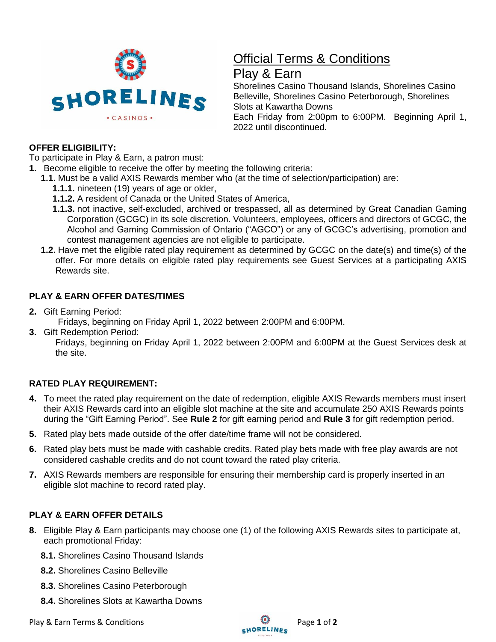

# Official Terms & Conditions

## Play & Earn

Shorelines Casino Thousand Islands, Shorelines Casino Belleville, Shorelines Casino Peterborough, Shorelines Slots at Kawartha Downs Each Friday from 2:00pm to 6:00PM. Beginning April 1, 2022 until discontinued.

### **OFFER ELIGIBILITY:**

To participate in Play & Earn, a patron must:

- **1.** Become eligible to receive the offer by meeting the following criteria:
	- **1.1.** Must be a valid AXIS Rewards member who (at the time of selection/participation) are:
		- **1.1.1.** nineteen (19) years of age or older,
		- **1.1.2.** A resident of Canada or the United States of America,
		- **1.1.3.** not inactive, self-excluded, archived or trespassed, all as determined by Great Canadian Gaming Corporation (GCGC) in its sole discretion. Volunteers, employees, officers and directors of GCGC, the Alcohol and Gaming Commission of Ontario ("AGCO") or any of GCGC's advertising, promotion and contest management agencies are not eligible to participate.
		- **1.2.** Have met the eligible rated play requirement as determined by GCGC on the date(s) and time(s) of the offer. For more details on eligible rated play requirements see Guest Services at a participating AXIS Rewards site.

## **PLAY & EARN OFFER DATES/TIMES**

**2.** Gift Earning Period:

Fridays, beginning on Friday April 1, 2022 between 2:00PM and 6:00PM.

**3.** Gift Redemption Period:

Fridays, beginning on Friday April 1, 2022 between 2:00PM and 6:00PM at the Guest Services desk at the site.

## **RATED PLAY REQUIREMENT:**

- **4.** To meet the rated play requirement on the date of redemption, eligible AXIS Rewards members must insert their AXIS Rewards card into an eligible slot machine at the site and accumulate 250 AXIS Rewards points during the "Gift Earning Period". See **Rule 2** for gift earning period and **Rule 3** for gift redemption period.
- **5.** Rated play bets made outside of the offer date/time frame will not be considered.
- **6.** Rated play bets must be made with cashable credits. Rated play bets made with free play awards are not considered cashable credits and do not count toward the rated play criteria.
- **7.** AXIS Rewards members are responsible for ensuring their membership card is properly inserted in an eligible slot machine to record rated play.

## **PLAY & EARN OFFER DETAILS**

- **8.** Eligible Play & Earn participants may choose one (1) of the following AXIS Rewards sites to participate at, each promotional Friday:
	- **8.1.** Shorelines Casino Thousand Islands
	- **8.2.** Shorelines Casino Belleville
	- **8.3.** Shorelines Casino Peterborough
	- **8.4.** Shorelines Slots at Kawartha Downs

Play & Earn Terms & Conditions **Play & Earn Terms & Conditions** Page 1 of 2